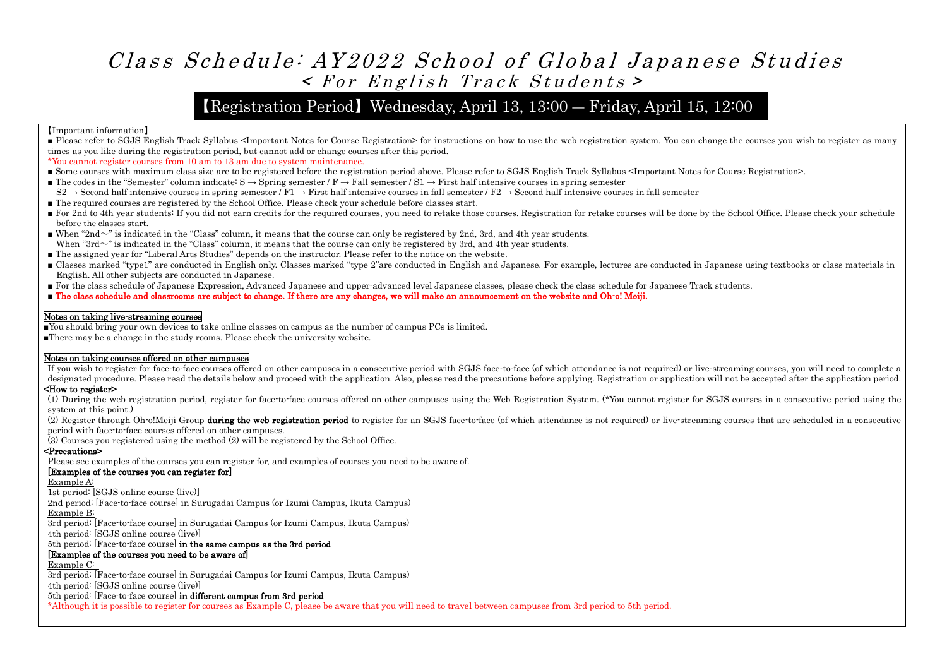# Class Schedule: AY2022 School of Global Japanese Studies  $\times$  For English Track Students >

# 【Registration Period】Wednesday, April 13, 13:00 ― Friday, April 15, 12:00

#### 【Important information】

- Please refer to SGJS English Track Syllabus <Important Notes for Course Registration> for instructions on how to use the web registration system. You can change the courses you wish to register as many times as you like during the registration period, but cannot add or change courses after this period.
- \*You cannot register courses from 10 am to 13 am due to system maintenance.
- Some courses with maximum class size are to be registered before the registration period above. Please refer to SGJS English Track Syllabus <Important Notes for Course Registration>.
- The codes in the "Semester" column indicate:  $S \rightarrow$  Spring semester /  $F \rightarrow$  Fall semester /  $S1 \rightarrow$  First half intensive courses in spring semester
- $S2 \rightarrow$  Second half intensive courses in spring semester / F1  $\rightarrow$  First half intensive courses in fall semester / F2  $\rightarrow$  Second half intensive courses in fall semester ■ The required courses are registered by the School Office. Please check your schedule before classes start.
- For 2nd to 4th year students: If you did not earn credits for the required courses, you need to retake those courses. Registration for retake courses will be done by the School Office. Please check your schedule before the classes start.
- $\blacksquare$  When "2nd  $\sim$ " is indicated in the "Class" column, it means that the course can only be registered by 2nd, 3rd, and 4th year students. When "3rd~" is indicated in the "Class" column, it means that the course can only be registered by 3rd, and 4th year students.
- The assigned year for "Liberal Arts Studies" depends on the instructor. Please refer to the notice on the website.
- Classes marked "type1" are conducted in English only. Classes marked "type 2"are conducted in English and Japanese. For example, lectures are conducted in Japanese using textbooks or class materials in English. All other subjects are conducted in Japanese.
- For the class schedule of Japanese Expression, Advanced Japanese and upper-advanced level Japanese classes, please check the class schedule for Japanese Track students.
- The class schedule and classrooms are subject to change. If there are any changes, we will make an announcement on the website and Oh-o! Meiji.

#### Notes on taking live-streaming courses

■You should bring your own devices to take online classes on campus as the number of campus PCs is limited.

■There may be a change in the study rooms. Please check the university website.

### Notes on taking courses offered on other campuses

If you wish to register for face-to-face courses offered on other campuses in a consecutive period with SGJS face-to-face (of which attendance is not required) or live-streaming courses, you will need to complete a designated procedure. Please read the details below and proceed with the application. Also, please read the precautions before applying. Registration or application will not be accepted after the application period.

## <How to register>

(1) During the web registration period, register for face-to-face courses offered on other campuses using the Web Registration System. (\*You cannot register for SGJS courses in a consecutive period using the system at this point.) (2) Register through Oh-o!Meiji Group during the web registration period to register for an SGJS face-to-face (of which attendance is not required) or live-streaming courses that are scheduled in a consecutive

period with face-to-face courses offered on other campuses.

(3) Courses you registered using the method (2) will be registered by the School Office.

### <Precautions>

Please see examples of the courses you can register for, and examples of courses you need to be aware of.

### [Examples of the courses you can register for]

Example A:

1st period: [SGJS online course (live)]

2nd period: [Face-to-face course] in Surugadai Campus (or Izumi Campus, Ikuta Campus)

Example B:

3rd period: [Face-to-face course] in Surugadai Campus (or Izumi Campus, Ikuta Campus)

4th period: [SGJS online course (live)]

## 5th period: [Face-to-face course] in the same campus as the 3rd period

### [Examples of the courses you need to be aware of]

### Example C:

3rd period: [Face-to-face course] in Surugadai Campus (or Izumi Campus, Ikuta Campus)

4th period: [SGJS online course (live)]

5th period: [Face-to-face course] in different campus from 3rd period

\*Although it is possible to register for courses as Example C, please be aware that you will need to travel between campuses from 3rd period to 5th period.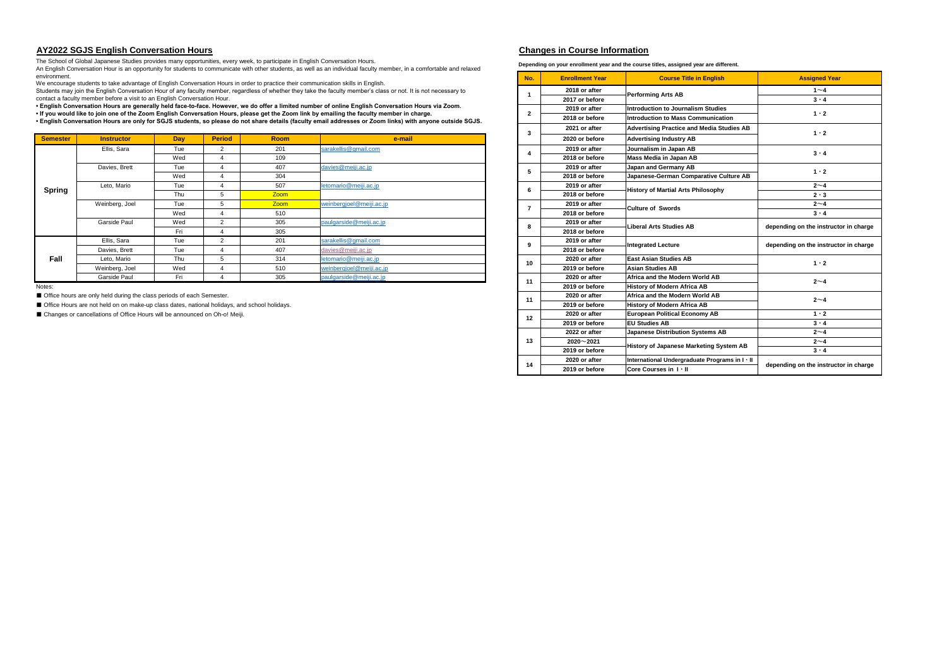#### **AY2022 SGJS English Conversation Hours Changes in Course Information**

| <b>Semester</b> | <b>Instructor</b> | Day | <b>Period</b> | <b>Room</b> | e-mail                   |  |       | 2020 or before | <b>Advertising Industry AB</b>            |                      |  |  |
|-----------------|-------------------|-----|---------------|-------------|--------------------------|--|-------|----------------|-------------------------------------------|----------------------|--|--|
|                 | Ellis, Sara       | Tue |               | 201         | sarakellis@gmail.com     |  |       | 2019 or after  | Journalism in Japan AB                    | $3 \cdot 4$          |  |  |
|                 |                   | Wed |               | 109         |                          |  |       | 2018 or before | Mass Media in Japan AB                    |                      |  |  |
|                 | Davies, Brett     | Tue |               | 407         | davies@meiji.ac.jp       |  |       | 2019 or after  | Japan and Germany AB                      | $1 \cdot 2$          |  |  |
|                 |                   | Wed |               | 304         |                          |  |       | 2018 or before | Japanese-German Comparative Culture AB    |                      |  |  |
| <b>Spring</b>   | Leto, Mario       | Tue |               | 507         | letomario@meiji.ac.jp    |  |       | 2019 or after  | <b>History of Martial Arts Philosophy</b> | $2\sim4$             |  |  |
|                 |                   | Thu |               | <b>Zoom</b> |                          |  |       | 2018 or before |                                           | $2 \cdot 3$          |  |  |
|                 | Weinberg, Joel    | Tue |               | <b>Zoom</b> | weinbergjoel@meiji.ac.jp |  |       | 2019 or after  | <b>Culture of Swords</b>                  | $2\sim4$             |  |  |
|                 |                   | Wed |               | 510         |                          |  |       | 2018 or before |                                           | $3 \cdot 4$          |  |  |
|                 | Garside Paul      | Wed |               | 305         | paulgarside@meiji.ac.jp  |  |       | 2019 or after  | <b>Liberal Arts Studies AB</b>            | depending on the ins |  |  |
|                 |                   | Fri |               | 305         |                          |  |       | 2018 or before |                                           |                      |  |  |
|                 | Ellis, Sara       | Tue | 201           |             | sarakellis@gmail.com     |  |       | 2019 or after  | <b>Integrated Lecture</b>                 | depending on the ins |  |  |
|                 | Davies, Brett     | Tue |               | 407         | davies@meiji.ac.jp       |  |       | 2018 or before |                                           |                      |  |  |
| Fall            | Leto, Mario       | Thu |               | 314         | letomario@meiji.ac.jp    |  | -10   | 2020 or after  | <b>East Asian Studies AB</b>              | $1 \cdot 2$          |  |  |
|                 | Weinberg, Joel    | Wed |               | 510         | weinbergjoel@meiji.ac.jp |  |       | 2019 or before | Asian Studies AB                          |                      |  |  |
|                 | Garside Paul      | Fri |               | 305         | paulgarside@meiji.ac.jp  |  | $-11$ | 2020 or after  | Africa and the Modern World AB            | $2\nu$               |  |  |

Depending on your enrollment year and the course titles, assigned year are

| <br>environment. | $\alpha$ and $\alpha$ is an opportunity for cludding to communicate man calculation, as non actual multiplear monitor, in a communicate and relation<br>We encourage students to take advantage of English Conversation Hours in order to practice their communication skills in English. |     |                          |             | No.                                                                                                                                                                                                                                                                                                   | <b>Enrollment Year</b>                           | <b>Course Title in English</b>         | <b>Assigned Year</b>                           |                                       |
|------------------|-------------------------------------------------------------------------------------------------------------------------------------------------------------------------------------------------------------------------------------------------------------------------------------------|-----|--------------------------|-------------|-------------------------------------------------------------------------------------------------------------------------------------------------------------------------------------------------------------------------------------------------------------------------------------------------------|--------------------------------------------------|----------------------------------------|------------------------------------------------|---------------------------------------|
|                  | Students may join the English Conversation Hour of any faculty member, regardless of whether they take the faculty member's class or not. It is not necessary to                                                                                                                          |     |                          |             |                                                                                                                                                                                                                                                                                                       | 2018 or after                                    |                                        | $1\sim4$                                       |                                       |
|                  | contact a faculty member before a visit to an English Conversation Hour.                                                                                                                                                                                                                  |     |                          |             |                                                                                                                                                                                                                                                                                                       |                                                  | 2017 or before                         | <b>Performing Arts AB</b>                      | $3 \cdot 4$                           |
|                  |                                                                                                                                                                                                                                                                                           |     |                          |             | • English Conversation Hours are generally held face-to-face. However, we do offer a limited number of online English Conversation Hours via Zoom.                                                                                                                                                    |                                                  | 2019 or after                          | <b>Introduction to Journalism Studies</b>      |                                       |
|                  |                                                                                                                                                                                                                                                                                           |     |                          |             | If you would like to join one of the Zoom English Conversation Hours, please get the Zoom link by emailing the faculty member in charge.<br>• English Conversation Hours are only for SGJS students, so please do not share details (faculty email addresses or Zoom links) with anyone outside SGJS. | $\mathbf{2}$                                     | 2018 or before                         | Introduction to Mass Communication             | $1 \cdot 2$                           |
|                  |                                                                                                                                                                                                                                                                                           |     |                          |             | 2021 or after                                                                                                                                                                                                                                                                                         | <b>Advertising Practice and Media Studies AB</b> |                                        |                                                |                                       |
| <b>Semester</b>  | <b>Instructor</b>                                                                                                                                                                                                                                                                         | Day | <b>Period</b>            | <b>Room</b> | e-mail                                                                                                                                                                                                                                                                                                | 3                                                | 2020 or before                         | <b>Advertising Industry AB</b>                 | $1 \cdot 2$                           |
|                  | Ellis, Sara                                                                                                                                                                                                                                                                               | Tue | $\overline{2}$           | 201         | sarakellis@gmail.com                                                                                                                                                                                                                                                                                  | 4                                                | 2019 or after                          | Journalism in Japan AB                         | $3 \cdot 4$                           |
|                  |                                                                                                                                                                                                                                                                                           | Wed | $\boldsymbol{\varDelta}$ | 109         |                                                                                                                                                                                                                                                                                                       |                                                  | 2018 or before                         | Mass Media in Japan AB                         |                                       |
|                  | Davies, Brett                                                                                                                                                                                                                                                                             | Tue | $\boldsymbol{\Delta}$    | 407         | 5.                                                                                                                                                                                                                                                                                                    | 2019 or after                                    | Japan and Germany AB                   | $1 \cdot 2$                                    |                                       |
|                  |                                                                                                                                                                                                                                                                                           | Wed | $\boldsymbol{\Lambda}$   | 304         |                                                                                                                                                                                                                                                                                                       | 2018 or before                                   | Japanese-German Comparative Culture AB |                                                |                                       |
| <b>Spring</b>    | Leto, Mario                                                                                                                                                                                                                                                                               | Tue | $\boldsymbol{\Delta}$    | 507         | etomario@meiji.ac.jp                                                                                                                                                                                                                                                                                  | 6                                                | 2019 or after                          | <b>History of Martial Arts Philosophy</b>      | $2 \sim 4$                            |
|                  |                                                                                                                                                                                                                                                                                           | Thu | 5                        | Zoom        |                                                                                                                                                                                                                                                                                                       |                                                  | 2018 or before                         |                                                | $2 \cdot 3$                           |
|                  | Weinberg, Joel                                                                                                                                                                                                                                                                            | Tue | 5                        | Zoom        | 7                                                                                                                                                                                                                                                                                                     | 2019 or after                                    | <b>Culture of Swords</b>               | $2 \sim 4$                                     |                                       |
|                  |                                                                                                                                                                                                                                                                                           | Wed | $\boldsymbol{\varDelta}$ | 510         |                                                                                                                                                                                                                                                                                                       |                                                  | 2018 or before                         |                                                | $3 \cdot 4$                           |
|                  | Garside Paul                                                                                                                                                                                                                                                                              | Wed | 2                        | 305         | paulgarside@meiji.ac.jp                                                                                                                                                                                                                                                                               | 8                                                | 2019 or after                          | <b>Liberal Arts Studies AB</b>                 | depending on the instructor in charge |
|                  |                                                                                                                                                                                                                                                                                           | Fri | $\overline{4}$           | 305         |                                                                                                                                                                                                                                                                                                       |                                                  | 2018 or before                         |                                                |                                       |
|                  | Ellis, Sara                                                                                                                                                                                                                                                                               | Tue | $\overline{2}$           | 201         | sarakellis@gmail.com                                                                                                                                                                                                                                                                                  | 9                                                | 2019 or after                          | <b>Integrated Lecture</b>                      | depending on the instructor in charge |
|                  | Davies, Brett                                                                                                                                                                                                                                                                             | Tue | $\overline{4}$           | 407         | davies@meiji.ac.jp                                                                                                                                                                                                                                                                                    |                                                  | 2018 or before                         |                                                |                                       |
| Fall             | Leto. Mario                                                                                                                                                                                                                                                                               | Thu | 5                        | 314         | etomario@meiii.ac.ip                                                                                                                                                                                                                                                                                  | 10                                               | 2020 or after                          | <b>East Asian Studies AB</b>                   | $1 \cdot 2$                           |
|                  | Weinberg, Joel                                                                                                                                                                                                                                                                            | Wed |                          | 510         | weinbergjoel@meiji.ac.jp                                                                                                                                                                                                                                                                              |                                                  | 2019 or before                         | <b>Asian Studies AB</b>                        |                                       |
|                  | Garside Paul                                                                                                                                                                                                                                                                              | Fri |                          | 305         | paulgarside@meiji.ac.jp                                                                                                                                                                                                                                                                               | 11                                               | 2020 or after                          | Africa and the Modern World AB                 | $2 \sim 4$                            |
| Notes:           |                                                                                                                                                                                                                                                                                           |     |                          |             |                                                                                                                                                                                                                                                                                                       |                                                  | 2019 or before                         | <b>History of Modern Africa AB</b>             |                                       |
|                  | ■ Office hours are only held during the class periods of each Semester.                                                                                                                                                                                                                   |     |                          |             |                                                                                                                                                                                                                                                                                                       | 11                                               | 2020 or after                          | Africa and the Modern World AB                 | $2~-4$                                |
|                  | Office Hours are not held on on make-up class dates, national holidays, and school holidays.                                                                                                                                                                                              |     |                          |             |                                                                                                                                                                                                                                                                                                       |                                                  | 2019 or before                         | <b>History of Modern Africa AB</b>             |                                       |
|                  | ■ Changes or cancellations of Office Hours will be announced on Oh-o! Meiji.                                                                                                                                                                                                              |     |                          |             |                                                                                                                                                                                                                                                                                                       | 12                                               | 2020 or after                          | <b>European Political Economy AB</b>           | $1 \cdot 2$                           |
|                  |                                                                                                                                                                                                                                                                                           |     |                          |             |                                                                                                                                                                                                                                                                                                       |                                                  | 2019 or before                         | <b>EU Studies AB</b>                           | $3 \cdot 4$                           |
|                  |                                                                                                                                                                                                                                                                                           |     |                          |             |                                                                                                                                                                                                                                                                                                       |                                                  | 2022 or after                          | <b>Japanese Distribution Systems AB</b>        | $2 \sim 4$                            |
|                  |                                                                                                                                                                                                                                                                                           |     |                          |             |                                                                                                                                                                                                                                                                                                       | 13                                               | $2020 - 2021$                          | <b>History of Japanese Marketing System AB</b> | $2 \sim 4$                            |
|                  |                                                                                                                                                                                                                                                                                           |     |                          |             |                                                                                                                                                                                                                                                                                                       |                                                  | 2019 or before                         |                                                | $3 \cdot 4$                           |
|                  |                                                                                                                                                                                                                                                                                           |     |                          |             |                                                                                                                                                                                                                                                                                                       | 14                                               | 2020 or after                          | International Undergraduate Programs in I · II | depending on the instructor in charge |
|                  |                                                                                                                                                                                                                                                                                           |     |                          |             |                                                                                                                                                                                                                                                                                                       |                                                  | 2019 or before                         | Core Courses in I . II                         |                                       |

|  | different |  |
|--|-----------|--|
|  |           |  |

The School of Global Japanese Studies provides many opportunities, every week, to participate in English Conversation Hours.

An English Conversation Hour is an opportunity for students to communicate with other students, as well as an individual faculty member, in a comfortable and relaxed environment.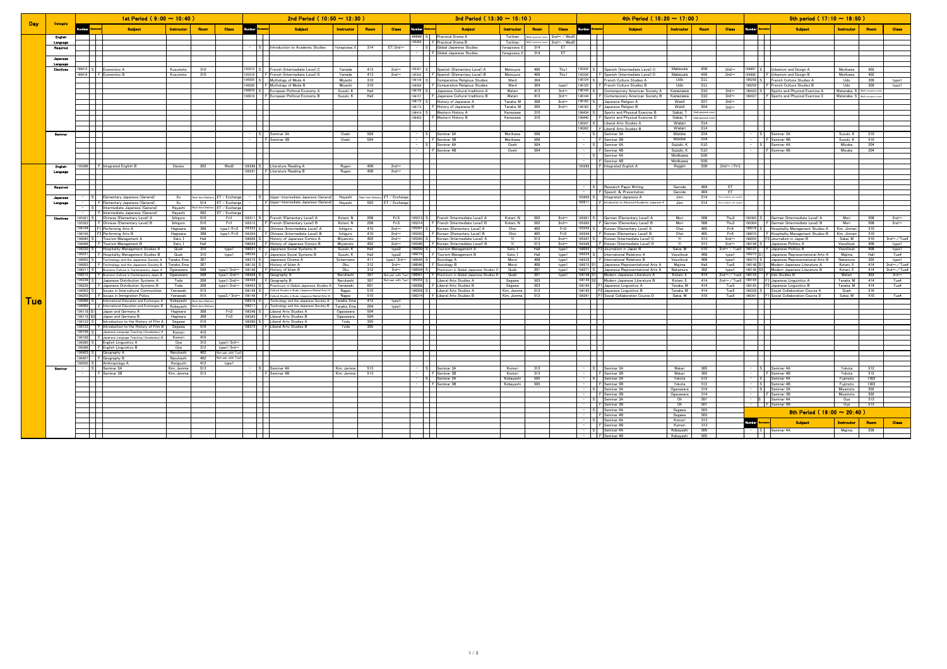|            |                       |                     | 1st Period ( $9:00 \sim 10:40$ )                                                                            |                          |                                 |                          |                                                      | 2nd Period ( $10:50 \sim 12:30$ )                                                                                  |                          |            |                                | 3rd Period ( $13:30 \sim 15:10$ ) |                                        |                                                                                    |                     |            |                               | 4th Period ( $15:20 \sim 17:00$ ) |                                                                                  |                       |                   |                          | 5th period ( $17:10 \sim 18:50$ ) |                                                                                 |                        |                 |                                                  |  |
|------------|-----------------------|---------------------|-------------------------------------------------------------------------------------------------------------|--------------------------|---------------------------------|--------------------------|------------------------------------------------------|--------------------------------------------------------------------------------------------------------------------|--------------------------|------------|--------------------------------|-----------------------------------|----------------------------------------|------------------------------------------------------------------------------------|---------------------|------------|-------------------------------|-----------------------------------|----------------------------------------------------------------------------------|-----------------------|-------------------|--------------------------|-----------------------------------|---------------------------------------------------------------------------------|------------------------|-----------------|--------------------------------------------------|--|
| <b>Day</b> | <b>Categoly</b>       |                     | <b>Subject</b>                                                                                              | Instrouto                | Roon                            | <b>Class</b>             | <b>Number</b>                                        | <b>Subject</b>                                                                                                     | Instrouto                | Roor       | <b>Class</b>                   | Number                            |                                        | <b>Subject</b>                                                                     | Instrouto           | Roor       | <b>Class</b>                  | Museum                            | <b>Subject</b>                                                                   | Instroute             |                   | <b>Class</b>             | Mumber                            | <b>Subject</b>                                                                  |                        |                 | <b>Class</b>                                     |  |
|            | <b>English</b>        |                     |                                                                                                             |                          |                                 |                          |                                                      |                                                                                                                    |                          |            |                                |                                   |                                        | <b>##### S   Practical Drama A</b>                                                 | Torikian            |            | Multi-purpose room 2nd~ / Wed |                                   |                                                                                  |                       |                   |                          |                                   | $\Box$                                                                          |                        |                 |                                                  |  |
|            | Language              |                     |                                                                                                             |                          |                                 |                          |                                                      |                                                                                                                    |                          |            |                                |                                   |                                        | 95288   F Practical Drama B                                                        | Torikian            |            | $2nd \sim /$ Wed              |                                   |                                                                                  |                       |                   |                          |                                   | $\overline{\phantom{a}}$                                                        |                        |                 |                                                  |  |
|            | Required              |                     |                                                                                                             |                          |                                 |                          |                                                      | S Introduction to Academic Studies                                                                                 | Yanagisawa, E            | 314        | $ET/2nd \sim$                  |                                   |                                        | S Global Japanese Studies                                                          | fanagisawa, I       | 314        | ET                            |                                   |                                                                                  |                       |                   |                          |                                   | $\sim$                                                                          |                        |                 |                                                  |  |
|            |                       |                     |                                                                                                             |                          |                                 |                          |                                                      |                                                                                                                    |                          |            |                                |                                   |                                        | F Global Japanese Studies                                                          | Yanagisawa, I       | 314        | FT.                           |                                   |                                                                                  |                       |                   |                          |                                   | $\mathbf{I}$                                                                    |                        |                 |                                                  |  |
|            | Japanes               |                     |                                                                                                             |                          |                                 |                          | a katika                                             |                                                                                                                    |                          |            |                                |                                   | $\Box$                                 |                                                                                    |                     |            |                               | $\mathbf{1}$                      |                                                                                  |                       |                   |                          |                                   | $\Box$                                                                          |                        |                 |                                                  |  |
|            | Language<br>Electives | $96415$ S           | Economics A                                                                                                 | Kusumoto                 | 310                             |                          | 95315 S                                              | French (Intermediate Level) C                                                                                      | Yamade                   | 413        | $2nd \sim$                     |                                   |                                        | 35331 S Spanish (Elementary Level) A                                               | Matsuura            | 406        | Thu1                          | 35335 S                           | Spanish (Intermediate Level) C                                                   | Matsuura              | 406               | $2nd \sim$               |                                   | 6007 S Urbanism and Design A                                                    | Morikawa               | 402             |                                                  |  |
|            |                       | 96416               | F Economics B                                                                                               | Kusumoto                 | 310                             |                          | 95316                                                | F French (Intermediate Level) D                                                                                    | Yamade                   | 413        | $2nd \sim$                     | 95332                             |                                        | F Spanish (Elementary Level) B                                                     | Matsuura            | 406        | Thu1                          | 95336                             | Spanish (Intermediate Level) D                                                   | Matsuura              | 406               | $2nd \sim$               |                                   | 96008 F Urbanism and Design B                                                   | Morikawa               | 402             |                                                  |  |
|            |                       |                     |                                                                                                             |                          |                                 |                          |                                                      | 96035 S Mythology of Mode A                                                                                        | Miyachi                  | 310        |                                |                                   |                                        | 96130 S Comparative Religious Studies                                              | Ward                | 304        |                               |                                   | 96124 S French Culture Studies A                                                 | Udo                   | 311               |                          |                                   | 96258 S French Culture Studies A                                                | Udo                    | 309             | type1                                            |  |
|            |                       |                     |                                                                                                             |                          |                                 |                          |                                                      | 196036 F Mythology of Mode B                                                                                       | Mivachi                  | 310        |                                |                                   |                                        | 96260   F Comparative Religious Studies                                            | Ward                | 304        | type1                         |                                   | 196125   F French Culture Studies B                                              | ubl J                 | 311               |                          |                                   | 196259 F French Culture Studies B                                               | Udo                    | 309             | type1                                            |  |
|            |                       |                     |                                                                                                             |                          |                                 |                          |                                                      | 96016 S European Political Economy A                                                                               | Suzuki, K                | Hall       |                                |                                   |                                        | 96156 S Japanese Cultural traditions A                                             | Watari              | 413        | $3rd \sim$                    | 96144                             | 196143 S Contemporary American Society A                                         | Kanazawa              | 310               | $3rd \sim$               |                                   | 96433 S Sports and Physical Exercise A                                          | Watanabe, S            | Multi-number in |                                                  |  |
|            |                       |                     |                                                                                                             |                          |                                 |                          |                                                      | 96018   F European Political Economy B                                                                             | Suzuki, K                | Hall       |                                |                                   |                                        | 96157   F Japanese Cultural traditions B<br>96172 S History of Japanese A          | Watari<br>Tanaka, M | 413<br>308 | $3rd -$<br>$2nd \sim$         |                                   | F Contemporary American Society B<br>96162 S Japanese Religion A                 | Kanazawa<br>Ward      | 310<br>307        | $3rd -$<br>$3rd \sim$    | 96437                             | F Sports and Physical Exercise C                                                | Watanabe, S            | Multi-purpose   |                                                  |  |
|            |                       |                     |                                                                                                             |                          |                                 |                          | $\mathcal{L}$                                        |                                                                                                                    |                          |            |                                |                                   |                                        | 96173   F History of Japanese B                                                    | Tanaka, M           | 205        | $2nd \sim$                    |                                   | 196163   F Japanese Religion B                                                   | Ward                  | 304               | $3rd \sim$               |                                   | $\mathbf{I}$                                                                    |                        |                 |                                                  |  |
|            |                       |                     |                                                                                                             |                          |                                 |                          | $\mathbf{I}$                                         |                                                                                                                    |                          |            |                                |                                   |                                        | 196419 S Western History A                                                         | Kanazawa            | 310        |                               |                                   | 96434 S Sports and Physical Exercise B                                           | Sakai T               | Multi-purpose roo |                          |                                   | $\mathbf{I}$                                                                    |                        |                 |                                                  |  |
|            |                       |                     |                                                                                                             |                          |                                 |                          |                                                      |                                                                                                                    |                          |            |                                |                                   |                                        | 96420 F Western History B                                                          | Kanazawa            | 310        |                               |                                   | 96440 F Sports and Physical Exercise D                                           | Sakai, T              | Multi-purpose ro  |                          |                                   |                                                                                 |                        |                 |                                                  |  |
|            |                       |                     |                                                                                                             |                          |                                 |                          |                                                      |                                                                                                                    |                          |            |                                |                                   |                                        |                                                                                    |                     |            |                               | 96347 S                           | Liberal Arts Studies A                                                           | Watari                | 314               |                          |                                   |                                                                                 |                        |                 |                                                  |  |
|            | <b>Seminar</b>        |                     |                                                                                                             |                          |                                 |                          |                                                      |                                                                                                                    | Ozeki                    | 504        |                                |                                   |                                        |                                                                                    | Morikawa            | 506        |                               |                                   | 196362   FLiberal Arts Studies B<br>Seminar 3A                                   | Watari<br>Mizobe      | 314<br>204        |                          |                                   |                                                                                 | Suzuki, K              | 510             |                                                  |  |
|            |                       |                     |                                                                                                             |                          |                                 |                          |                                                      | S<br>F Seminar 3B                                                                                                  | Ozeki                    | 504        |                                |                                   |                                        | S<br>F Seminar 3A                                                                  | Morikawa            | 506        |                               |                                   | F Seminar 3B                                                                     | Mizobe                | 204               |                          |                                   | S<br>F Seminar 4B                                                               | Suzuki K               | 510             |                                                  |  |
|            |                       |                     |                                                                                                             |                          |                                 |                          | $\mathbf{I}$                                         |                                                                                                                    |                          |            |                                |                                   |                                        | - S Seminar 4A                                                                     | Ozeki               | 504        |                               |                                   | - S Seminar 4A                                                                   | Suzuki, K             | 510               |                          |                                   | - S Seminar 4A                                                                  | Mizobe                 | 204             |                                                  |  |
|            |                       |                     |                                                                                                             |                          |                                 |                          | $\mathbf{I}$                                         |                                                                                                                    |                          |            |                                |                                   |                                        | F Seminar 4B                                                                       | Ozeki               | 504        |                               |                                   | F Seminar 4B                                                                     | Suzuki, K             | 510               |                          |                                   | F Seminar 4B                                                                    | Mizobe                 | 204             |                                                  |  |
|            |                       |                     |                                                                                                             |                          |                                 |                          |                                                      |                                                                                                                    |                          |            |                                |                                   | $\mathbb{R}$                           |                                                                                    |                     |            |                               |                                   | S Seminar 4A                                                                     | Morikawa              | 506               |                          |                                   | $\mathcal{L}$                                                                   |                        |                 |                                                  |  |
|            | English               |                     |                                                                                                             |                          |                                 | Wed2                     | $\mathbf{1}$                                         |                                                                                                                    |                          | 408        | $2nd \sim$                     |                                   | - 11                                   |                                                                                    |                     |            |                               |                                   | -     F Seminar 4B                                                               | Morikawa              | 506<br>308        | $2nd \sim$ / Fri         |                                   | $\blacksquare$                                                                  |                        |                 |                                                  |  |
|            | Language              |                     | 95286 F Integrated English B                                                                                | Davies                   | 202                             |                          |                                                      | 95289 S Literature Reading A<br>95291   F Literature Reading B                                                     | Rugen<br>Rugen           | 408        | $2nd \sim$                     |                                   | $\overline{\phantom{a}}$               |                                                                                    |                     |            |                               |                                   | 95285 F Integrated English A                                                     | Rugen                 |                   |                          |                                   | $\Box$                                                                          |                        |                 |                                                  |  |
|            |                       |                     |                                                                                                             |                          |                                 |                          |                                                      |                                                                                                                    |                          |            |                                |                                   | ╅                                      |                                                                                    |                     |            |                               |                                   |                                                                                  |                       |                   |                          |                                   | $\pm$                                                                           |                        |                 |                                                  |  |
|            |                       |                     |                                                                                                             |                          |                                 |                          | .                                                    |                                                                                                                    |                          |            |                                |                                   | $\Box$                                 |                                                                                    |                     |            |                               | $\mathbf{I}$                      |                                                                                  |                       |                   |                          |                                   | ПT                                                                              |                        |                 |                                                  |  |
|            | Required              |                     |                                                                                                             |                          |                                 |                          | $\Box$<br>and the state                              |                                                                                                                    |                          |            |                                |                                   | ┯                                      |                                                                                    |                     |            |                               |                                   | S Research Paper Writing<br>-     F Speech & Presentation                        | Garside<br>Garside    | 404<br>404        | <b>FT</b><br><b>FT</b>   |                                   | H<br>H                                                                          |                        |                 |                                                  |  |
|            |                       |                     | S   Elementary Japanese (General)                                                                           | $X_{11}$                 | Real-time Delivery ET / Exchang |                          |                                                      | S Upper-intermediate Japanese (General) Hayashi                                                                    |                          |            | Real-time Delivery ET / Exchan |                                   | $\overline{\phantom{a}}$               |                                                                                    |                     |            |                               |                                   | 95509 S Integrated Japanese A                                                    | Jimi                  | 514               | *Inti. students can      |                                   | $\Box$                                                                          |                        |                 |                                                  |  |
|            | Language              |                     | F Elementary Japanese (General)                                                                             | $X_{11}$                 | 514                             | ET / Exchang             |                                                      | F Upper-intermediate Japanese (General) Havashi                                                                    |                          | 503        | ET / Exchan                    |                                   |                                        |                                                                                    |                     |            |                               | 95511                             | Introduction to Advanced Academic Japanese A                                     | Jimi                  | 514               | *Inti. students ca       |                                   | ┿                                                                               |                        |                 |                                                  |  |
|            |                       |                     | Intermediate Japanese (General)                                                                             | Hayashi                  | Real-time Deliv                 | ET / Exchang             |                                                      |                                                                                                                    |                          |            |                                |                                   |                                        |                                                                                    |                     |            |                               |                                   |                                                                                  |                       |                   |                          |                                   |                                                                                 |                        |                 |                                                  |  |
|            | Electives             | 195321 S            | - FlIntermediate Japanese (General)<br>Chinese (Elementary Level) A                                         | Havashi<br>Ishiguro      | 502<br>510                      | FT / Fxchan<br>Fri1      | $\overline{\phantom{a}}$                             | 95311 S French (Elementary Level) A                                                                                | Kotani, N                | 208        | Fri3                           |                                   | $\top$                                 | 95313 S French (Intermediate Level) A                                              | Kotani, N           | 502        | $2nd \sim$                    |                                   | 95301 S German (Elementary Level) A                                              | Mori                  | 508               | Thus 3                   |                                   | T<br>95303 S German (Intermediate Level) A                                      | Mori                   | 508             | $2nd \sim$                                       |  |
|            |                       |                     | 195322   F Chinese (Elementary Level) B                                                                     | Ishiguro                 | 510                             | Fri1                     |                                                      | 95312   F French (Elementary Level) B                                                                              | Kotani, N                | 208        | Fri3                           |                                   |                                        | 95314 F French (Intermediate Level) B                                              | Kotani, N           | 502        | $2nd \sim$                    |                                   | 95302   F German (Elementary Level) B                                            | Mori                  | 508               | Thu3                     |                                   | 95304   F German (Intermediate Level) B                                         | Mori                   | 508             | $2nd \sim$                                       |  |
|            |                       | 196194              | F1 Performing Arts A                                                                                        | Hagiwara                 | 308                             | tyne1/Fri3               |                                                      | 195323 S Chinese (Intermediate Level) A                                                                            | Ishiguro                 | 410        | $2nd \sim$                     |                                   |                                        | 95341 S Korean (Elementary Level) A                                                | Choi                | 405        | Fri3                          |                                   | 95342 S Korean (Elementary Level) A                                              | Choi                  | 405               | Fri4                     |                                   | 196078 S   Hospitality Management Studies A                                     | (im. Jinman            | 310             |                                                  |  |
|            |                       | 196195              | F2 Performing Arts B                                                                                        | Hagiwara                 | 308                             | type1/Fri3               | 95324                                                | F Chinese (Intermediate Level) B                                                                                   | Ishiguro                 | 410        | $2nd \sim$                     | 95343                             |                                        | F Korean (Elementary Level) B                                                      | Choi                | 405        | Fri3                          | 95344                             | F Korean (Elementary Level) B                                                    | Choi                  | 405               | Fri4                     | 86079                             | F Hospitality Management Studies B                                              | im, Jinman             | 310             |                                                  |  |
|            |                       | 196045<br>196046    | Tourism Management A<br>F Tourism Management B                                                              | Sato. I<br>Sato I        | Hall<br>Hall                    |                          | $s$ $ $ $s$ $ $                                      | History of Japanese Comics A<br>96024 F History of Japanese Comics B                                               | Miyamoto<br>Mivamoto     | 402<br>402 | $2nd \sim$<br>$2nd \sim$       |                                   |                                        | 95345 S   Korean (Intermediate Level) A<br>95346   F Korean (Intermediate Level) B | Yi<br>Yi            | 513<br>513 | $2nd \sim$<br>$2nd \sim$      |                                   | 95347 S Korean (Intermediate Level) C<br>95348   F Korean (Intermediate Level) D | Yi<br>Yi              | 513<br>513        | $2nd \sim$<br>$2nd \sim$ |                                   | 196055 F2 Journalism in Japan B<br>96196 S Japanese Politics A                  | Sakai, M<br>Vassiliouk | 510<br>408      | $3rd \sim \sqrt{T}$ ue4<br>type1                 |  |
|            |                       | 196230 S            | <b>Hospitality Management Studies A</b>                                                                     | Quek                     | 310                             | type1                    |                                                      | 96037 S Japanese Social Systems A                                                                                  | Suzuki, K                | Hall       | type2                          |                                   |                                        | 96209 S Tourism Management A                                                       | Sato, I             | Hall       | type1                         |                                   | 96055 F2 Journalism in Japan B                                                   | Sakai, M              | 510               | $3rd \sim 7$ Tue         |                                   | 96197   F Japanese Politics B                                                   | Vassiliouk             | 408             | type1                                            |  |
|            |                       |                     | 196231   F Hospitality Management Studies B                                                                 | Quek                     | 310                             | type1                    |                                                      | 196039   F Japanese Social Systems B                                                                               | Suzuki, K                | Hall       | type2                          |                                   |                                        | 96210   F Tourism Management B                                                     | Sato, I             | Hall       | type1                         |                                   | 96234 S International Relations A                                                | Vassiliouk            | 408               | type1                    |                                   | 96272 S1 Japanese Representational Arts A                                       | Majima                 | Hall            | Tue4                                             |  |
|            |                       | 196052 S            | Technology and the Japanese Society A Tanaka, Ema                                                           |                          | 307                             |                          |                                                      | 96275 S Japanese Cinema A                                                                                          | Scherman                 | 411        | type1/3rd~                     |                                   |                                        | 96545 S Sociology A                                                                | Moroi               | 408        | type1                         |                                   | 96235   F International Relations B                                              | Vassiliouk            | 408               | type1                    |                                   | 196273 S Japanese Representational Arts B                                       | Nakamura               | 302             | type1                                            |  |
|            |                       | 196053<br>196211    | Technology and the Japanese Society B   Tanaka, Ema<br>Business Culture in Contemporary Japan A   Ogasawara |                          | 307<br>508                      | type1/2nd~               | 96139 S                                              | History of Islam A<br>196140 F History of Islam B                                                                  | Oku<br>Oku               | 312<br>312 | $3rd \sim$<br>$3rd \sim$       | 96546                             |                                        | F Sociology B<br>96559 S Practicum in Global Japanese Studies C                    | Moroi<br>Quek       | 408<br>201 | type1                         | 96272 S1                          | Japanese Representational Arts A<br>96271 S Japanese Representational Arts A     | Majima                | Hall<br>302       | Tue5                     |                                   | 96148 S1 Modern Japanese Literature A<br>196149 S2 Modern Japanese Literature B | Kotani, E<br>Kotani, E | 414<br>414      | $2nd \sim \sqrt{T}ue$<br>$2nd \sim \sqrt{T}$ ue4 |  |
|            |                       |                     | 196212   F Business Culture in Contemporary Japan B   Ogasawara                                             |                          | 508                             | type1/2nd∼               |                                                      | 196426 S Geography A                                                                                               | Naruhashi                | 307        | Not pair with T                |                                   |                                        | 96561 F Practicum in Global Japanese Studies D                                     | Quek                | 201        | type1<br>type1                |                                   | 96148 S1 Modern Japanese Literature A                                            | Nakamura<br>Kotani, E | 414               | type1<br>2nd $\sim$ /Tue |                                   | 196155   F Edo Studies B                                                        | Watari                 | 403             | $3rd \sim$                                       |  |
|            |                       | 196238 SI           | Japanese Distribution Systems A Toda                                                                        |                          | 208                             | type1/2nd~               |                                                      | 96428 F Geography B                                                                                                | Naruhashi                | 307        | Not pair with T                |                                   |                                        | 96352 S Liberal Arts Studies A                                                     | Segawa              | 503        |                               |                                   | 96149 S2 Modern Japanese Literature B                                            | Kotani, E             | 414               | $2nd \sim \sqrt{T}$ ue   |                                   | 96164   F1 Japanese Linguistics A                                               | Tanaka, M              | 414             | Tue4                                             |  |
|            |                       |                     | 196239   F Japanese Distribution Systems B                                                                  | Toda                     | 208                             | type $1/2$ nd $\sim$     |                                                      | 196453 S Practicum in Global Japanese Studies A Yamawaki                                                           |                          | 601        |                                |                                   |                                        | 96368 F Liberal Arts Studies B                                                     | Segawa              | 503        |                               |                                   | 96164 F1 Japanese Linguistics A                                                  | Tanaka, M             | 414               | Tue5                     |                                   | 196165 F2 Japanese Linguistics B                                                | Tanaka, M              | 414             | Tue4                                             |  |
|            |                       | 196093 S<br>196255  | Issues in Intercultural Communities   Yamawaki                                                              |                          | 515                             |                          | 96146                                                | 96145 S Cultural Studies in Budo (Japanese Martial Arts) A<br>F Cultural Studies in Budo (Japanese Martial Arts) B | Nagao                    | 510<br>510 |                                | 9637                              |                                        | 96359 S Liberal Arts Studies A<br>F Liberal Arts Studies B                         | Kim, Jemm           | 512        |                               | 96341                             | 96165 F2 Japanese Linguistics B                                                  | Tanaka, M.            | 414<br>510        | Tue5                     | 96341                             | 196339 S Social Collaboration Course A                                          | Quek                   | 516             | Tue4                                             |  |
| <b>Tue</b> |                       | 196098              | Issues in Immigration Policy<br>International Education and Exchanges A   Kobayashi Real-time Delive        | Yamawaki                 | 515                             | type2/3rd-               |                                                      | 96216 S Technology and the Japanese Society A Tanaka, Ema                                                          | Nagao                    | 412        | type1                          |                                   | a kara                                 |                                                                                    | Kim, Jemm           | 512        |                               |                                   | Social Collaboration Course D                                                    | Sakai, M              |                   | Tue5                     |                                   | Social Collaboration Course D<br>and the state                                  | Sakai, M               | 510             |                                                  |  |
|            |                       | 196099              | F International Education and Exchanges B   Kobayashi Real-time Delive                                      |                          |                                 |                          |                                                      | 96217 F Technology and the Japanese Society B Tanaka, Ema                                                          |                          | 204        | type1                          |                                   | $\mathbf{I}$                           |                                                                                    |                     |            |                               |                                   |                                                                                  |                       |                   |                          |                                   | $\mathbf{I}$                                                                    |                        |                 |                                                  |  |
|            |                       | 196118 S1           | Japan and Germany A                                                                                         | Hagiwara                 | 308                             | Fri3<br>Fig. 3           |                                                      | 96348 S Liberal Arts Studies A                                                                                     | Ogasawara                | 504<br>504 |                                |                                   | $\mathbb{R}$                           |                                                                                    |                     |            |                               |                                   |                                                                                  |                       |                   |                          |                                   | $\mathbb{R}$                                                                    |                        |                 |                                                  |  |
|            |                       | 196119 S2<br>196122 | Japan and Germany B<br>Introduction to the History of Film A Segawa                                         | Hagiwara                 | 308<br>516                      |                          |                                                      | 196363 Filiberal Arts Studies B<br>96360 S Liberal Arts Studies A                                                  | Ogasawara<br>Toda        | 305        |                                |                                   | $\overline{1}$                         |                                                                                    |                     |            |                               |                                   |                                                                                  |                       |                   |                          |                                   | $\overline{1}$                                                                  |                        |                 |                                                  |  |
|            |                       | 196123              | F Introduction to the History of Film B Segawa                                                              |                          | 516                             |                          |                                                      | 96375 F Liberal Arts Studies B                                                                                     | Toda                     | 305        |                                |                                   |                                        |                                                                                    |                     |            |                               |                                   |                                                                                  |                       |                   |                          |                                   | ╅                                                                               |                        |                 |                                                  |  |
|            |                       | 196168 S            | Japanese Language Teaching (Vocabulary) A Komori                                                            |                          | 410                             |                          |                                                      |                                                                                                                    |                          |            |                                |                                   | ─────────────────────────              |                                                                                    |                     |            |                               |                                   |                                                                                  |                       |                   |                          |                                   | $\top$                                                                          |                        |                 |                                                  |  |
|            |                       | 196169              | F Japanese Language Teaching (Vocabulary) B                                                                 | Komori                   | 410                             |                          |                                                      |                                                                                                                    |                          |            |                                |                                   |                                        |                                                                                    |                     |            |                               |                                   |                                                                                  |                       |                   |                          |                                   | $\mathbf{I}$                                                                    |                        |                 |                                                  |  |
|            |                       | 196285 S<br>196286  | English Linguistics A<br>F English Linguistics B                                                            | Oya<br>Ova               | 312<br>312                      | type1/3rd~<br>type1/3rd- |                                                      |                                                                                                                    |                          |            |                                |                                   |                                        |                                                                                    |                     |            |                               |                                   |                                                                                  |                       |                   |                          |                                   | $\mathbf{I}$                                                                    |                        |                 |                                                  |  |
|            |                       | 196425              | Geography A                                                                                                 | Naruhashi                | 402                             | Not pair with T          |                                                      |                                                                                                                    |                          |            |                                |                                   |                                        |                                                                                    |                     |            |                               |                                   |                                                                                  |                       |                   |                          |                                   | $\blacksquare$                                                                  |                        |                 |                                                  |  |
|            |                       | 196427              | F Geography B                                                                                               | Naruhashi                | 402                             | Not pair with Tu         |                                                      |                                                                                                                    |                          |            |                                |                                   |                                        |                                                                                    |                     |            |                               |                                   |                                                                                  |                       |                   |                          |                                   | $\mathcal{L}$                                                                   |                        |                 |                                                  |  |
|            |                       | <b>2.</b> Baaan     | Anthropology A                                                                                              | Horiguchi                | 412                             | tyne1                    | $\overline{\phantom{a}}$                             |                                                                                                                    |                          |            |                                |                                   | <u> T</u>                              |                                                                                    |                     |            |                               |                                   |                                                                                  |                       |                   |                          |                                   | - 12                                                                            |                        |                 |                                                  |  |
|            | <b>Seminar</b>        |                     | Seminar 3A<br>F Seminar 3B                                                                                  | Kim, Jemma<br>Kim, Jemma | 513<br>513                      |                          |                                                      | S Seminar 4A<br>F Seminar 4B                                                                                       | Kim, Jemma<br>Kim. Jemma | 513<br>513 |                                |                                   |                                        | S Seminar 3A<br>F Seminar 3B                                                       | Komori<br>Komori    | 313<br>313 |                               |                                   | S Seminar 3A<br>F Seminar 3B                                                     | Watari<br>Watari      | 305<br>305        |                          |                                   | S Seminar 4A<br>$-$     F Seminar 4B                                            | Yokota<br>Yokota       | 512<br>512      |                                                  |  |
|            |                       |                     |                                                                                                             |                          |                                 |                          | $\overline{\phantom{a}}$                             |                                                                                                                    |                          |            |                                |                                   |                                        | S Seminar 3A                                                                       | Kobayashi           | 505        |                               |                                   | S Seminar 3A                                                                     | Yokota                | 512               |                          |                                   | - S Seminar 4A                                                                  | Fujimoto               | 1302            |                                                  |  |
|            |                       |                     |                                                                                                             |                          |                                 |                          |                                                      |                                                                                                                    |                          |            |                                |                                   |                                        | F Seminar 3B                                                                       | Kobayashi           | 505        |                               |                                   | F Seminar 3B                                                                     | Yokota                | 512               |                          |                                   | S Seminar 4B                                                                    | Fujimoto               | 1302            |                                                  |  |
|            |                       |                     |                                                                                                             |                          |                                 |                          | $\color{red}+$                                       |                                                                                                                    |                          |            |                                |                                   | $\mathbf{1}$                           |                                                                                    |                     |            |                               |                                   | - S Seminar 3A                                                                   | Ogasawara             | 314               |                          |                                   | $-S$ Seminar 3A                                                                 | Miyamoto               | 502             |                                                  |  |
|            |                       |                     |                                                                                                             |                          |                                 |                          | المالي                                               |                                                                                                                    |                          |            |                                |                                   | $\overline{\phantom{a}}$               |                                                                                    |                     |            |                               |                                   | F Seminar 3B                                                                     | Ogasawara             | 314               |                          |                                   | - F Seminar 3B                                                                  | Mivamoto               | 502             |                                                  |  |
|            |                       |                     |                                                                                                             |                          |                                 |                          | $\overline{\phantom{0}}$<br>$\overline{\phantom{a}}$ |                                                                                                                    |                          |            |                                |                                   | a katika I<br>$\overline{\phantom{a}}$ |                                                                                    |                     |            |                               |                                   | S Seminar 3A<br>- F Seminar 3B                                                   | Oh<br>Oh              | 501<br>501        |                          |                                   | S Seminar 4A<br>- I FISeminar 4B                                                | Oya<br>Ova             | 513<br>513      |                                                  |  |
|            |                       |                     |                                                                                                             |                          |                                 |                          | $\overline{\phantom{0}}$                             |                                                                                                                    |                          |            |                                |                                   |                                        |                                                                                    |                     |            |                               |                                   |                                                                                  | Segawa                | 503               |                          |                                   | 6th Period (19:00 $\sim$ 20:40)                                                 |                        |                 |                                                  |  |
|            |                       |                     |                                                                                                             |                          |                                 |                          |                                                      |                                                                                                                    |                          |            |                                |                                   |                                        |                                                                                    |                     |            |                               |                                   | S<br>F<br>Seminar 4B                                                             | Segawa                | 503               |                          |                                   |                                                                                 |                        |                 |                                                  |  |
|            |                       |                     |                                                                                                             |                          |                                 |                          | 士<br>$\mathcal{L}$                                   |                                                                                                                    |                          |            |                                |                                   | $\mathbf{I}$<br>$\mathcal{L}$          |                                                                                    |                     |            |                               |                                   | $-$ S Seminar 4A<br>F Seminar 4B                                                 | Komori<br>Komori      | 313<br>313        |                          |                                   | <b>Subject</b>                                                                  | <b>Instroutor</b>      | Room            | <b>Class</b>                                     |  |
|            |                       |                     |                                                                                                             |                          |                                 |                          | $\mathbb{R}$                                         |                                                                                                                    |                          |            |                                |                                   |                                        |                                                                                    |                     |            |                               |                                   | S Seminar 4A                                                                     | Kobavashi             | 505               |                          |                                   | S Seminar 4A                                                                    | Majima                 | 509             |                                                  |  |
|            |                       |                     |                                                                                                             |                          |                                 |                          |                                                      |                                                                                                                    |                          |            |                                |                                   |                                        |                                                                                    |                     |            |                               |                                   | F Seminar 4B                                                                     | Kohayachi             | 505               |                          |                                   |                                                                                 |                        |                 |                                                  |  |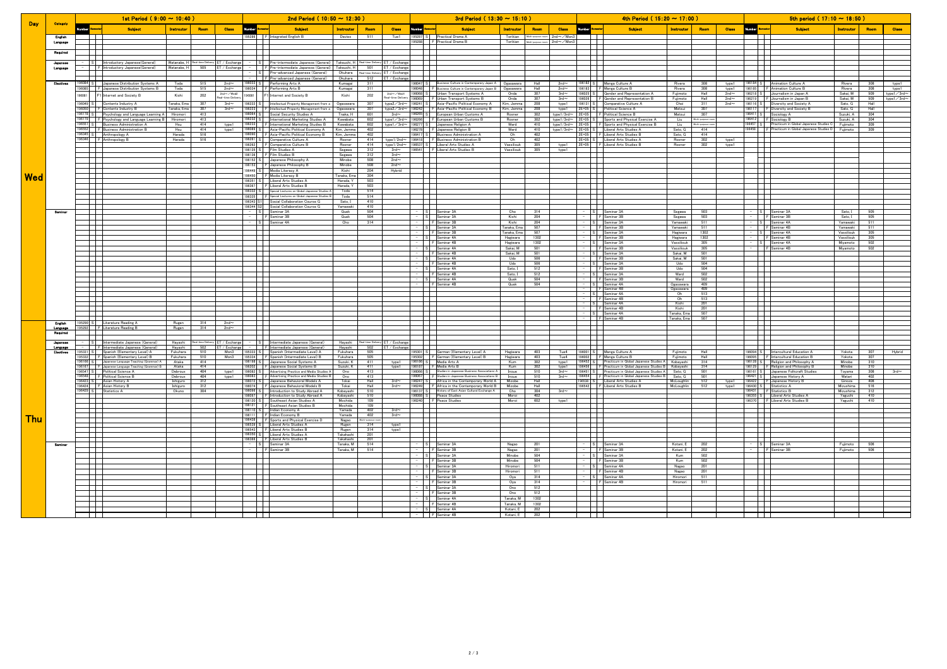|            |                            |                | 1st Period (9:00 $\sim$ 10:40) |                                                                                                                    |                              |                               | 2nd Period ( $10:50 \sim 12:30$ ) |                                         |                                                                                                                      |                          |                                                         | 3rd Period ( $13:30 \sim 15:10$ ) |                     |                                                                                               |                          | 4th Period (15:20 $\sim$ 17:00)         |       |                    |                                                                                                                   |                            |                         | 5th period (17:10 $\sim$ 18:50) |                    |                                                                            |                            |             |                     |
|------------|----------------------------|----------------|--------------------------------|--------------------------------------------------------------------------------------------------------------------|------------------------------|-------------------------------|-----------------------------------|-----------------------------------------|----------------------------------------------------------------------------------------------------------------------|--------------------------|---------------------------------------------------------|-----------------------------------|---------------------|-----------------------------------------------------------------------------------------------|--------------------------|-----------------------------------------|-------|--------------------|-------------------------------------------------------------------------------------------------------------------|----------------------------|-------------------------|---------------------------------|--------------------|----------------------------------------------------------------------------|----------------------------|-------------|---------------------|
| <b>Day</b> | <b>Categoly</b>            |                |                                | <b>Subject</b>                                                                                                     | Instroutor                   | Room                          | <b>Class</b>                      | Numbe                                   | <b>Subject</b>                                                                                                       | Instrouto                | <b>Class</b><br>Room                                    |                                   |                     | <b>Subject</b>                                                                                | Instrouto                | <b>Class</b><br>Roor                    | lumbe |                    | <b>Subject</b>                                                                                                    | Instroutor                 | Room                    | <b>Class</b>                    |                    | <b>Subject</b>                                                             | Instrouto                  | Room        | <b>Class</b>        |
|            |                            |                |                                |                                                                                                                    |                              |                               |                                   |                                         | 195286 F Integrated English B                                                                                        | Davies                   | Tue1<br>511                                             | 195287 S                          |                     | Practical Drama A                                                                             |                          | Torikian Multi-purpose room 2nd~/Mon3   |       |                    |                                                                                                                   |                            |                         |                                 |                    |                                                                            |                            |             |                     |
|            | Language                   |                |                                |                                                                                                                    |                              |                               |                                   |                                         |                                                                                                                      |                          |                                                         | 95288                             |                     | F Practical Drama B                                                                           |                          | Torikian Multi-purpose room 2nd~/Mon    |       |                    |                                                                                                                   |                            |                         |                                 |                    |                                                                            |                            |             |                     |
|            | Required                   |                |                                |                                                                                                                    |                              |                               |                                   |                                         |                                                                                                                      |                          |                                                         |                                   |                     |                                                                                               |                          |                                         |       |                    |                                                                                                                   |                            |                         |                                 |                    |                                                                            |                            |             |                     |
|            | Japanese                   |                |                                | Introductory Japanese(General)                                                                                     |                              | Watanabe, H Real-time Deliver | ET / Exchang                      | $\mathbf{s}$                            | Pre-intermediate Japanese (General)                                                                                  |                          | Takeuchi, H   Real-time Delivery ET / Exchan            |                                   |                     |                                                                                               |                          |                                         |       |                    |                                                                                                                   |                            |                         |                                 |                    |                                                                            |                            |             |                     |
|            | Language                   |                |                                | Introductory Japanese(General)                                                                                     | Watanabe, H                  | 505                           | ET / Exchange                     |                                         | F Pre-intermediate Japanese (General)                                                                                | Takeuchi, H              | 501<br>ET / Exchang                                     |                                   |                     |                                                                                               |                          |                                         |       |                    |                                                                                                                   |                            |                         |                                 |                    |                                                                            |                            |             |                     |
|            |                            |                |                                |                                                                                                                    |                              |                               |                                   |                                         | Pre-advanced Japanese (General)<br>- FIPre-advanced Japanese (General)                                               | Okuhara<br>Okuhara       | Real-time Delivery ET / Exchange<br>512<br>ET / Exchang |                                   |                     |                                                                                               |                          |                                         |       |                    |                                                                                                                   |                            |                         |                                 |                    |                                                                            |                            |             |                     |
|            | Electives                  | 196084 S       |                                | Japanese Distribution Systems A                                                                                    | Toda                         | 515                           | $2nd \sim$                        | 96033 S                                 | Performing Arts A                                                                                                    | Kumagai                  | 311                                                     | 196047 S                          |                     | Business Culture in Contemporary Japan A                                                      | Ogasawara                | Hall<br>$2nd \sim$                      |       | 196182 \$          | Manga Culture A                                                                                                   | Rivera                     | 308                     | type1                           | 196184 S           | Animation Culture A                                                        | Rivera                     | 308         | type1               |
|            |                            | 96085<br>96081 |                                | F Japanese Distribution Systems B<br>F1 Internet and Society B                                                     | Toda<br>Kishi                | 515<br>202                    | $2nd \sim$<br>$2nd \sim$ /Wed2    | 96034<br>96081                          | F Performing Arts B<br>F1 Internet and Society B                                                                     | Kumagai<br>Kishi         | 311<br>$2nd \sim$ /Wedl<br>202                          | 96048<br>96068 S                  |                     | F Business Culture in Contemporary Japan B<br>Urban Transport Systems A                       | Ogasawara<br>Onda        | Hall<br>$2nd \sim$<br>307<br>$3rd \sim$ |       | 196183<br>196025 5 | F Manga Culture B<br>Gender and Representation A                                                                  | Rivera<br>Fujimoto         | 308<br>Hall             | type1<br>$2nd \sim$             | 196185             | F Animation Culture B<br>196218 S Journalism in Japan A                    | Rivera<br>Sakai, M         | 308<br>509  | type1<br>type1/3rd~ |
|            |                            | 196049 S       |                                |                                                                                                                    |                              | 307                           | I-time Deli<br>$3rd \sim$         | 96222 S                                 | Intellectual Property Management from a                                                                              |                          | Real-time Delive<br>307                                 | 880881<br>96241 S                 |                     | F Urban Transport Systems B<br>Asia-Pacific Political Economy A                               | Onda                     | 307<br>$3rd \sim$<br>208                |       | 96026<br>196131 5  | I F Gender and Representation B<br>Comparative Culture A                                                          | Fuiimoto<br>Choi           | Hall<br>311             | $2nd \sim$<br>$2nd \sim$        | 196219<br>196116 S | I F Journalism in Japan B<br>Diversity and Society A                       | Sakai, M<br>Sato, G        | 509<br>Hall | type1/3rd~          |
|            |                            |                |                                | Contents Industry A<br>196050 F Contents Industry B                                                                | Tanaka, Ema I<br>Tanaka, Ema | 307                           | $3rd \sim$                        | 96223                                   | F Intellectual Property Management from a                                                                            | Ogasawara<br>Ogasawara   | type $2/3$ rd $\sim$<br>307<br>type2/3rd~               | 96242                             |                     | F Asia-Pacific Political Economy B                                                            | Kim, Jemma<br>Kim, Jemma | tvpe1<br>208<br>type1                   |       | $2E+05$ S          | Political Science A                                                                                               | Matsui                     | 307                     |                                 | 96117              | F Diversity and Society B                                                  | Sato, G                    | Hall        |                     |
|            |                            |                |                                | 196178 S Psychology and Language Learning A<br>196179 F Psychology and Language Learning B                         | Hiromori                     | 413<br>413                    |                                   | $96232$ S                               | 96064 S Social Security Studies A<br>International Marketing Studies A                                               | Tnaka, H<br>Kawabata     | 601<br>$3rd \sim$<br>602                                |                                   |                     | 196265 S European Urban Customs A<br>196266   F European Urban Customs B                      | Rosner<br>Rosner         | 302<br>type1/3rd~<br>302<br>type1/3rd~  |       | 2E+05 S            | 2E+05   F Political Science B                                                                                     | Matsui<br>Liu              | 307<br>Multi-purpose ro |                                 | 196411 s1          | Sociology A<br>196412   F Sociology B                                      | Suzuki, A<br>Suzuki, A     | 304<br>304  |                     |
|            |                            | 196551 S       |                                | <b>Business Administration A</b>                                                                                   | Hiromori<br>Hsu              | 414                           | type1                             |                                         | 196233 F International Marketing Studies B                                                                           | Kawabata                 | type $1/3$ rd $\sim$<br>602<br>type1/3rd~               |                                   |                     | 196277 S Japanese Religion A                                                                  | Ward                     | 410<br>type1/3rd~                       |       |                    | Sports and Physical Exercise A<br>E+05   F Sports and Physical Exercise B                                         | Liu                        | Multi-purpose roo       |                                 | $196457$ S         | Practicum in Global Japanese Studies C                                     | Fujimoto                   | 309         |                     |
|            |                            |                |                                | 196552   F Business Administration B<br>196345 S Anthropology A                                                    | Hsu<br>Harada                | 414<br>516                    | type1                             | 96090                                   | 196089 S Asia-Pacific Political Economy A<br>F Asia-Pacific Political Economy B Kim, Jemma                           | Kim, Jemma               | 402<br>402                                              | 96417 S                           |                     | 196278 F Japanese Religion B<br><b>Business Administration A</b>                              | Ward<br>Oh               | 410<br>type $1/3$ rd $\sim$<br>402      |       | 2E+05 SI           | Liberal Arts Studies A<br>2F+05 FILiberal Arts Studies B                                                          | Sato, G<br>Sato G          | 414<br>414              |                                 |                    | 96458   F Practicum in Global Japanese Studies D Fujimoto                  |                            | 309         |                     |
|            |                            |                |                                | 196346 F Anthropology B                                                                                            | Harada                       | 516                           |                                   | 96261 S                                 | Comparative Culture A                                                                                                | Rosner                   | 414<br>type $1/2$ nd $\sim$                             | 96418                             |                     | F Business Administration B                                                                   | Oh                       | 402                                     |       | 2E+05 S            | Liberal Arts Studies A                                                                                            | Rosner                     | 302                     | type1                           |                    |                                                                            |                            |             |                     |
|            |                            |                |                                |                                                                                                                    |                              |                               |                                   | 96262<br>196135 SI                      | F Comparative Culture B<br>Film Studies A                                                                            | Rosner<br>Segawa         | 414<br>type1/2nd~<br>312<br>3rd $\thicksim$             | 96537 S<br>96541                  |                     | Liberal Arts Studies A<br><b>F</b> Liberal Arts Studies B                                     | Vassiliouk<br>Vassiliouk | 305<br>type1<br>305<br>type1            |       | 2E+05              | F Liberal Arts Studies B                                                                                          | Rosner                     | 302                     | type1                           |                    |                                                                            |                            |             |                     |
|            |                            |                |                                |                                                                                                                    |                              |                               |                                   | 196136                                  | F Film Studies B                                                                                                     | Segawa                   | 312<br>$3rd \sim$<br>508                                |                                   |                     |                                                                                               |                          |                                         |       |                    |                                                                                                                   |                            |                         |                                 |                    |                                                                            |                            |             |                     |
|            |                            |                |                                |                                                                                                                    |                              |                               |                                   |                                         | 196152 S Japanese Philosophy A<br>96153 F Japanese Philosophy B                                                      | Minobe<br>Minobe         | $2nd \sim$<br>508<br>$2nd \sim$                         |                                   |                     |                                                                                               |                          |                                         |       |                    |                                                                                                                   |                            |                         |                                 |                    |                                                                            |                            |             |                     |
|            |                            |                |                                |                                                                                                                    |                              |                               |                                   | 96450                                   | 96449 S Media Literacy A<br>F Media Literacy B                                                                       | Kishi<br>Tanaka, Ema     | 204<br>Hybrid<br>304                                    |                                   |                     |                                                                                               |                          |                                         |       |                    |                                                                                                                   |                            |                         |                                 |                    |                                                                            |                            |             |                     |
| <b>Wed</b> |                            |                |                                |                                                                                                                    |                              |                               |                                   | 96351 S                                 | Liberal Arts Studies A                                                                                               | Harada, Y                | 503                                                     |                                   |                     |                                                                                               |                          |                                         |       |                    |                                                                                                                   |                            |                         |                                 |                    |                                                                            |                            |             |                     |
|            |                            |                |                                |                                                                                                                    |                              |                               |                                   |                                         | 196367 F Liberal Arts Studies B<br>196332 S Special Lectures on Global Japanese Studies A                            | Harada, Y<br>Toda        | 503<br>514                                              |                                   |                     |                                                                                               |                          |                                         |       |                    |                                                                                                                   |                            |                         |                                 |                    | ┌─┬─                                                                       |                            |             |                     |
|            |                            |                | $\Box$                         |                                                                                                                    |                              |                               |                                   |                                         | 196335   F Special Lectures on Global Japanese Studies B                                                             | Toda                     | 514                                                     |                                   | .                   |                                                                                               |                          |                                         |       |                    | $\mathbf{I}$                                                                                                      |                            |                         |                                 |                    | $\mathbf{I}$                                                               |                            |             |                     |
|            |                            |                | .                              |                                                                                                                    |                              |                               |                                   |                                         | 96343 S1 Social Collaboration Course G<br>196344 S2 Social Collaboration Course G                                    | Sato, I<br>Yamawaki      | 410<br>410                                              |                                   | - 130<br>.          |                                                                                               |                          |                                         |       |                    | .                                                                                                                 |                            |                         |                                 |                    | . .                                                                        |                            |             |                     |
|            | Seminar                    |                |                                |                                                                                                                    |                              |                               |                                   |                                         | - S Seminar 3A                                                                                                       | Quek                     | 504                                                     |                                   |                     | - S Seminar 3A                                                                                | Cho                      | 314                                     |       |                    | - S Seminar 3A                                                                                                    | Segawa                     | 503                     |                                 |                    | S Seminar 3A                                                               | Sato, I                    | 505         |                     |
|            |                            |                |                                |                                                                                                                    |                              |                               |                                   | $ \vert$ s $\vert$                      | F Seminar 3B<br>Seminar 4A                                                                                           | Quek<br>Cho              | 504<br>314                                              |                                   | $  S $              | Seminar 3A<br>F Seminar 3B                                                                    | Kishi<br>Kishi           | 204<br>204                              |       | $-$   s            | $  F $ Seminar 3B<br>Seminar 3A                                                                                   | Segawa<br>Yamawaki         | 503<br>511              |                                 | $-$ LSL.           | F Seminar 3B<br>Seminar 4A                                                 | Sato. I<br>Yamawaki        | 505<br>511  |                     |
|            |                            |                |                                |                                                                                                                    |                              |                               |                                   |                                         |                                                                                                                      |                          |                                                         | $ \vert$ s                        |                     | Seminar 3A                                                                                    | anaka, Ema               | 507                                     |       |                    | $-$ F Seminar 3B                                                                                                  | Yamawaki                   | 511                     |                                 |                    | $-$ F Seminar 4B                                                           | Yamawaki                   | 511         |                     |
|            |                            |                |                                |                                                                                                                    |                              |                               |                                   |                                         |                                                                                                                      |                          |                                                         |                                   |                     | -     F Seminar 3B<br>- S Seminar 4A                                                          | Tanaka, Ema<br>Hagiwara  | 507<br>1302                             |       |                    | $-$ S Seminar 3A<br>-       F Seminar 3B                                                                          | Hagiwara<br>Hagiwara       | 1302<br>1302            |                                 |                    | $ \vert$ S $\vert$ Seminar 4A<br>$-$     F Seminar 4B                      | Vassiliouk<br>Vassiliouk   | 305<br>305  |                     |
|            |                            |                |                                |                                                                                                                    |                              |                               |                                   |                                         |                                                                                                                      |                          |                                                         |                                   |                     | -           Seminar 4B                                                                        | Hagiwara                 | 1302                                    |       |                    | - S Seminar 3A                                                                                                    | Vassiliouk                 | 305                     |                                 |                    | - S Seminar 4A                                                             | Mivamoto                   | 502         |                     |
|            |                            |                |                                |                                                                                                                    |                              |                               |                                   |                                         |                                                                                                                      |                          |                                                         |                                   |                     | - S Seminar 4A<br>- F Seminar 4B                                                              | Sakai, M<br>Sakai, M     | 501<br>501                              |       |                    | -     F Seminar 3B<br>- S Seminar 3A                                                                              | Vassiliouk<br>Sakai, M     | 305<br>501              |                                 |                    | -     F Seminar 4B                                                         | Miyamoto                   | 502         |                     |
|            |                            |                |                                |                                                                                                                    |                              |                               |                                   |                                         |                                                                                                                      |                          |                                                         |                                   |                     | - S Seminar 4A<br>F Seminar 4B                                                                | Udo<br>Udo               | 506<br>506                              |       |                    | - F Seminar 3B                                                                                                    | Sakai. M<br>Udo            | 501<br>504              |                                 |                    |                                                                            |                            |             |                     |
|            |                            |                |                                |                                                                                                                    |                              |                               |                                   |                                         |                                                                                                                      |                          |                                                         |                                   |                     | Seminar 4A                                                                                    | Sato, I                  | 512                                     |       |                    | $\begin{array}{c c c c c} \hline - & S & \text{Sernin.} \ \hline \end{array}$                                     | Udo                        | 504                     |                                 |                    |                                                                            |                            |             |                     |
|            |                            |                |                                |                                                                                                                    |                              |                               |                                   |                                         |                                                                                                                      |                          |                                                         |                                   |                     | $ \frac{1}{F}$ Seminar 4B<br>- S Seminar 4A                                                   | Sato, I<br>Quek          | 512<br>504                              |       | $-$ s              | Seminar 3A<br>$-$ F Seminar 3B                                                                                    | Ward<br>Ward               | 502<br>502              |                                 |                    |                                                                            |                            |             |                     |
|            |                            |                |                                |                                                                                                                    |                              |                               |                                   |                                         |                                                                                                                      |                          |                                                         |                                   |                     | $ \overline{F}$ Seminar 4B                                                                    | Quek                     | 504                                     |       | $  s $             | Seminar 4A                                                                                                        | Ogasawara                  | 409                     |                                 |                    |                                                                            |                            |             |                     |
|            |                            |                |                                |                                                                                                                    |                              |                               |                                   |                                         |                                                                                                                      |                          |                                                         |                                   |                     |                                                                                               |                          |                                         |       |                    | - F Seminar 4B<br>Seminar 4A                                                                                      | Ogasawara<br>Oh            | 409<br>513              |                                 |                    |                                                                            |                            |             |                     |
|            |                            |                |                                |                                                                                                                    |                              |                               |                                   |                                         |                                                                                                                      |                          |                                                         |                                   |                     |                                                                                               |                          |                                         |       |                    | $ \mathsf{F}$ Seminar 4B<br>- S Seminar 4A                                                                        | Oh<br>Kishi                | 513<br>201              |                                 |                    |                                                                            |                            |             |                     |
|            |                            |                |                                |                                                                                                                    |                              |                               |                                   | .                                       |                                                                                                                      |                          |                                                         |                                   | .                   |                                                                                               |                          |                                         |       |                    | $-$     F Seminar 4B                                                                                              | Kishi                      | 201                     |                                 |                    |                                                                            |                            |             |                     |
|            |                            |                |                                |                                                                                                                    |                              |                               |                                   |                                         |                                                                                                                      |                          |                                                         |                                   |                     |                                                                                               |                          |                                         |       |                    | - S Seminar 4A<br>$ \mathsf{IF}$ Seminar 4R                                                                       | Tanaka, Ema<br>Tanaka, Ema | 507<br>507              |                                 |                    |                                                                            |                            |             |                     |
|            | <b>English</b><br>Language |                |                                | 195290 S Literature Reading A<br>195292   F Literature Reading B                                                   | Rugen                        | Rugen 314<br>314              | $2nd \sim$<br>2nd $\sim$          | ┶┷┷<br>T T                              |                                                                                                                      |                          |                                                         |                                   | ┶┷┷<br>$\mathbf{1}$ |                                                                                               |                          |                                         |       |                    | ┷┷┷                                                                                                               |                            |                         |                                 |                    | H                                                                          |                            |             |                     |
|            | Regulred                   |                |                                |                                                                                                                    |                              |                               |                                   | ┶┷                                      |                                                                                                                      |                          |                                                         |                                   | ┶┷┷                 |                                                                                               |                          |                                         |       | ┶┷┷                |                                                                                                                   |                            |                         |                                 |                    | ⊢                                                                          |                            |             |                     |
|            | Japanes                    |                |                                |                                                                                                                    | Hayashi Real-time Deliver    |                               | ET / Exchange                     |                                         |                                                                                                                      |                          | Hayashi Real-time Delivery ET / Exchange                |                                   |                     |                                                                                               |                          |                                         |       |                    |                                                                                                                   |                            |                         |                                 |                    |                                                                            |                            |             |                     |
|            | Language<br>Electives      |                |                                | - S Intermediate Japanese (General)<br>- F Intermediate Japanese (General)<br>95331 S Spanish (Elementary Level) A | Hayashi<br>Fukuhara          | 502<br>510                    | ET / Exchang<br>Mon3              |                                         | - S Intermediate Japanese (General)<br>- F Intermediate Japanese (General)<br>95333 S Spanish (Intermediate Level) A | Havashi l<br>Fukuhara    | 502 FT / Exchan<br>505                                  |                                   |                     | 95301   S   German (Elementary Level) A                                                       | Hagiwara                 | 403<br>Tue4                             |       |                    |                                                                                                                   | Fujimoto                   | Hall                    |                                 |                    |                                                                            | Yokota                     | 307         | Hybrid              |
|            |                            | 95332          |                                | F Spanish (Elementary Level) B                                                                                     | Fukuhara                     | 510                           | Mon3                              | 95334                                   | F Spanish (Intermediate Level) B                                                                                     | Fukuhara                 | 505                                                     | 95302                             |                     | F German (Elementary Level) B                                                                 | Hagiwara                 | 403<br>Tue4                             |       |                    | 196001 S   Manga Culture A<br>196002   F Manga Culture B                                                          | Fujimoto                   | Hall                    |                                 |                    | 196094 S Intercultural Education A<br>196095   F Intercultural Education B | Yokota                     | 307         |                     |
|            |                            | 196166 SI      |                                | Japanese Language Teaching (Grammar) A<br>196167 F Japanese Language Teaching (Grammar) B                          | Ataka<br>Ataka               | 414<br>414                    |                                   |                                         | 96198 S Japanese Social Systems A<br>96202 F Japanese Social Systems B                                               | Suzuki, K<br>Suzuki, K   | 411<br>type1<br>411<br>type1                            | 196186 SI                         |                     | Media Arts A<br>196187 F Media Arts B                                                         | Kum<br>Kum               | 302<br>type1<br>302<br>type1            |       | 196452 SI          | Practicum in Global Japanese Studies A Kobayashi<br>196456   F Practicum in Global Japanese Studies B   Kobayashi |                            | 314<br>314              |                                 | 196128 S           | Religion and Philosophy A<br>96129 F Religion and Philosophy B             | Minobe<br>Minobe           | 310<br>310  |                     |
|            |                            | 196548         |                                | 196547 S Political Science A<br>F Political Science B                                                              | Debroux<br>Debroux           | 404<br>404                    | type1<br>type1                    |                                         | 196082 S Advertising Practice and Media Studies A<br>96083 F Advertising Practice and Media Studies B                | Ono<br>Ono               | 413<br>413                                              | 196066 S<br>96067                 |                     | Studies in Japanese Business Associations A.<br>F Studies in Japanese Business Associations B | Inoue<br>Inoue           | 510<br>3rd $\sim$<br>510<br>$3rd \sim$  |       | 96454              | 196451 S Practicum in Global Japanese Studies A Sato, G<br>F Practicum in Global Japanese Studies B               | Sato, G                    | 501<br>501              |                                 | 96421 5            | 196161 S Japanese Folkcraft Studies<br>Japanese History A                  | Toyama<br>Watari           | 308<br>402  | $3rd \sim$          |
|            |                            | $196423$ S     |                                | Asian History A                                                                                                    | Ishiguro                     | 312                           |                                   | 96072 5                                 | Japanese Behavioral Models A                                                                                         | Tokai                    | Hall<br>$3rd \sim$                                      | 196247 S                          |                     | Africa in the Contemporary World A                                                            | Mizobe                   | Hall                                    |       | 96538              | Liberal Arts Studies A                                                                                            | McLoughlin                 | 512                     | type1                           | 196422             | F Japanese History B                                                       | Ginoza                     | 408         |                     |
|            |                            | 196429 S       |                                | 196424 F Asian History B<br>Statistics A                                                                           | Ishiguro<br>Okuno            | 312<br>304                    |                                   | 196096 S                                | 96074 F Japanese Behavioral Models B<br>Introduction to Study Abroad A                                               | Tokai<br>Kobayashi       | Hall<br>$3rd \sim$<br>510                               | 196137 S                          |                     | 196249 F Africa in the Contemporary World B<br>History of East Asian Cultural Exchange A      | Mizobe<br>Cho            | Hall<br>304<br>$3rd \sim$               |       |                    | 96542 F Liberal Arts Studies B                                                                                    | McLoughlin                 | 512                     | type1                           | 196430 S<br>96431  | Statistics A<br>F Statistics B                                             | Mizushima<br>Mizushima     | 516<br>312  |                     |
|            |                            |                |                                |                                                                                                                    |                              |                               |                                   | 96097<br>96120 S                        | F Introduction to Study Abroad A<br>Southeast Asian Studies A                                                        | Kobayashi<br>Mochida     | 510<br>109                                              | 196088 S<br>96240                 |                     | Peace Studies<br>F Peace Studies                                                              | Moroi<br>Moroi           | 402<br>602<br>type1                     |       |                    |                                                                                                                   |                            |                         |                                 |                    | 196355 S<br>196355 S<br>196370 F Liberal Arts Studies B                    | Yaguchi<br>Yaguchi         | 410<br>410  |                     |
|            |                            |                |                                |                                                                                                                    |                              |                               |                                   |                                         | 96121 F Southeast Asian Studies B                                                                                    | Mochida                  | 109                                                     |                                   |                     |                                                                                               |                          |                                         |       |                    |                                                                                                                   |                            |                         |                                 |                    |                                                                            |                            |             |                     |
|            |                            |                |                                |                                                                                                                    |                              |                               |                                   |                                         | 196110 S Indian Economy A<br>196111 FlIndian Economy B                                                               | Yamada<br>Yamada I       | 402<br>$3rd \sim$<br>402<br>$3rd \sim$                  |                                   |                     |                                                                                               |                          |                                         |       |                    |                                                                                                                   |                            |                         |                                 |                    |                                                                            |                            |             |                     |
| Thu        |                            |                |                                |                                                                                                                    |                              |                               |                                   |                                         | 196438   F Sports and Physical Exercise D<br>Liberal Arts Studies A                                                  | Rugen                    | Nagao Multi-purpose room<br>type1<br>314                |                                   |                     |                                                                                               |                          |                                         |       |                    |                                                                                                                   |                            |                         |                                 |                    |                                                                            |                            |             |                     |
|            |                            |                |                                |                                                                                                                    |                              |                               |                                   |                                         | 96543   F Liberal Arts Studies B                                                                                     |                          | Rugen 314<br>type1                                      |                                   |                     |                                                                                               |                          |                                         |       |                    |                                                                                                                   |                            |                         |                                 |                    |                                                                            |                            |             |                     |
|            |                            |                |                                |                                                                                                                    |                              |                               |                                   |                                         | 196350 S Liberal Arts Studies A<br>96366 F Liberal Arts Studies B                                                    | Takahashi  <br>Takahashi | 201<br>201                                              |                                   |                     |                                                                                               |                          |                                         |       |                    |                                                                                                                   |                            |                         |                                 |                    |                                                                            |                            |             |                     |
|            | Seminar                    |                | .<br>┌─┬─┬                     |                                                                                                                    |                              |                               |                                   |                                         | - S Seminar 3A<br>$-$ F Seminar 3B                                                                                   | Tanaka, M<br>Tanaka, M   | 514<br>514                                              |                                   |                     | - S Seminar 3A<br>$-$           Seminar 3B                                                    | Nagao                    | 201<br>201                              |       |                    | - S Seminar 3A<br>$-$     F Seminar 3B                                                                            | Kotani. E<br>Kotani F      | 202<br>202              |                                 |                    | $ S$ Seminar 3A<br>$-$     F Seminar 3B                                    | Fuiimoto I<br>Fujimoto 506 | 506         |                     |
|            |                            |                |                                |                                                                                                                    |                              |                               |                                   |                                         |                                                                                                                      |                          |                                                         |                                   |                     | - S Seminar 3A<br>- F Seminar 3B                                                              | Nagao<br>Minobe          | 504                                     |       |                    | - S Seminar 3A<br>- F Seminar 3B                                                                                  | Kum                        | 502                     |                                 |                    |                                                                            |                            |             |                     |
|            |                            |                | III                            |                                                                                                                    |                              |                               |                                   | $\mathbf{1}$                            |                                                                                                                      |                          |                                                         |                                   |                     | - S Seminar 3A                                                                                | Minobe<br>Hiromori       | 504<br>511                              |       |                    | $-S$ Seminar 4A                                                                                                   | Kum                        | 502<br>201              |                                 |                    | $\mathbf{1}$                                                               |                            |             |                     |
|            |                            |                |                                |                                                                                                                    |                              |                               |                                   |                                         |                                                                                                                      |                          |                                                         |                                   |                     | - F Seminar 3B                                                                                | Hiromori                 | 511                                     |       |                    | - F Seminar 4B                                                                                                    | Nagao<br>Nagao             | 201                     |                                 |                    |                                                                            |                            |             |                     |
|            |                            |                |                                |                                                                                                                    |                              |                               |                                   |                                         |                                                                                                                      |                          |                                                         |                                   |                     | - S Seminar 3A                                                                                | Oya                      | 314                                     |       |                    | - S Seminar 4A                                                                                                    | Hiromori                   | 511                     |                                 |                    |                                                                            |                            |             |                     |
|            |                            |                |                                |                                                                                                                    |                              |                               |                                   | <b>Tara</b><br><b>Contract Contract</b> |                                                                                                                      |                          |                                                         |                                   |                     | - F Seminar 3B<br>- S Seminar 3A                                                              | Oya<br>Ono               | 314<br>512                              |       |                    | $-$           Seminar 4B<br>$\mathbf{1}$                                                                          | Hiromori                   | 511                     |                                 |                    | 1 I I<br>$\blacksquare$                                                    |                            |             |                     |
|            |                            |                |                                |                                                                                                                    |                              |                               |                                   |                                         |                                                                                                                      |                          |                                                         |                                   |                     | -     F Seminar 3B                                                                            | Ono                      | 512                                     |       |                    |                                                                                                                   |                            |                         |                                 |                    |                                                                            |                            |             |                     |
|            |                            |                |                                |                                                                                                                    |                              |                               |                                   |                                         |                                                                                                                      |                          |                                                         |                                   |                     | - S Seminar 4A<br>$-$     F Seminar 4B                                                        | Tanaka, M<br>Tanaka, M   | 1302<br>1302                            |       |                    |                                                                                                                   |                            |                         |                                 |                    |                                                                            |                            |             |                     |
|            |                            |                |                                |                                                                                                                    |                              |                               |                                   |                                         |                                                                                                                      |                          |                                                         |                                   |                     | - S Seminar 4A                                                                                | Kotani, E                | 202                                     |       |                    |                                                                                                                   |                            |                         |                                 |                    |                                                                            |                            |             |                     |
|            |                            |                |                                |                                                                                                                    |                              |                               |                                   | $\mathbf{1}$ $\mathbf{1}$ $\mathbf{1}$  |                                                                                                                      |                          |                                                         |                                   |                     | $-$     F Seminar 4B                                                                          | Kotani, E                | 202                                     |       |                    | $\sim$                                                                                                            |                            |                         |                                 |                    | $\overline{\phantom{a}}$                                                   |                            |             |                     |